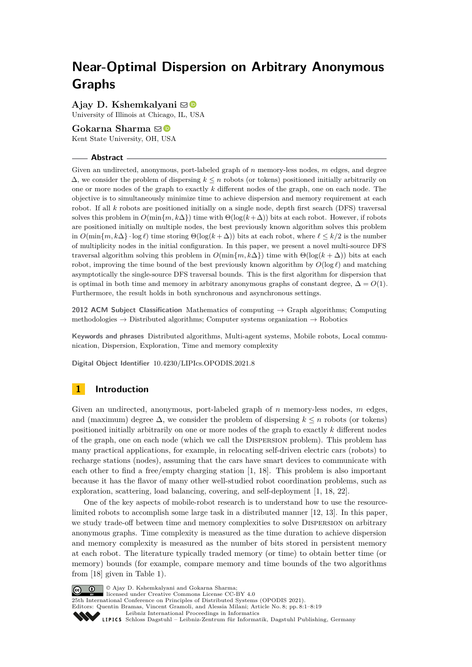# **Near-Optimal Dispersion on Arbitrary Anonymous Graphs**

**Ajay D. Kshemkalyani** ⊠<sup>■</sup>

University of Illinois at Chicago, IL, USA

# Gokarna Sharma ⊠<sup>®</sup>

Kent State University, OH, USA

# **Abstract**

Given an undirected, anonymous, port-labeled graph of *n* memory-less nodes, *m* edges, and degree  $\Delta$ , we consider the problem of dispersing  $k \leq n$  robots (or tokens) positioned initially arbitrarily on one or more nodes of the graph to exactly *k* different nodes of the graph, one on each node. The objective is to simultaneously minimize time to achieve dispersion and memory requirement at each robot. If all *k* robots are positioned initially on a single node, depth first search (DFS) traversal solves this problem in  $O(\min\{m, k\Delta\})$  time with  $\Theta(\log(k+\Delta))$  bits at each robot. However, if robots are positioned initially on multiple nodes, the best previously known algorithm solves this problem in  $O(\min\{m, k\Delta\} \cdot \log \ell)$  time storing  $\Theta(\log(k + \Delta))$  bits at each robot, where  $\ell \leq k/2$  is the number of multiplicity nodes in the initial configuration. In this paper, we present a novel multi-source DFS traversal algorithm solving this problem in  $O(\min\{m, k\Delta\})$  time with  $\Theta(\log(k + \Delta))$  bits at each robot, improving the time bound of the best previously known algorithm by  $O(\log \ell)$  and matching asymptotically the single-source DFS traversal bounds. This is the first algorithm for dispersion that is optimal in both time and memory in arbitrary anonymous graphs of constant degree,  $\Delta = O(1)$ . Furthermore, the result holds in both synchronous and asynchronous settings.

**2012 ACM Subject Classification** Mathematics of computing → Graph algorithms; Computing methodologies  $\rightarrow$  Distributed algorithms; Computer systems organization  $\rightarrow$  Robotics

**Keywords and phrases** Distributed algorithms, Multi-agent systems, Mobile robots, Local communication, Dispersion, Exploration, Time and memory complexity

**Digital Object Identifier** [10.4230/LIPIcs.OPODIS.2021.8](https://doi.org/10.4230/LIPIcs.OPODIS.2021.8)

# **1 Introduction**

Given an undirected, anonymous, port-labeled graph of *n* memory-less nodes, *m* edges, and (maximum) degree  $\Delta$ , we consider the problem of dispersing  $k \leq n$  robots (or tokens) positioned initially arbitrarily on one or more nodes of the graph to exactly *k* different nodes of the graph, one on each node (which we call the Dispersion problem). This problem has many practical applications, for example, in relocating self-driven electric cars (robots) to recharge stations (nodes), assuming that the cars have smart devices to communicate with each other to find a free/empty charging station [\[1,](#page-16-0) [18\]](#page-16-1). This problem is also important because it has the flavor of many other well-studied robot coordination problems, such as exploration, scattering, load balancing, covering, and self-deployment [\[1,](#page-16-0) [18,](#page-16-1) [22\]](#page-17-0).

One of the key aspects of mobile-robot research is to understand how to use the resourcelimited robots to accomplish some large task in a distributed manner [\[12,](#page-16-2) [13\]](#page-16-3). In this paper, we study trade-off between time and memory complexities to solve Dispersion on arbitrary anonymous graphs. Time complexity is measured as the time duration to achieve dispersion and memory complexity is measured as the number of bits stored in persistent memory at each robot. The literature typically traded memory (or time) to obtain better time (or memory) bounds (for example, compare memory and time bounds of the two algorithms from [\[18\]](#page-16-1) given in Table [1\)](#page-1-0).



© Ajay D. Kshemkalyani and Gokarna Sharma; licensed under Creative Commons License CC-BY 4.0

25th International Conference on Principles of Distributed Systems (OPODIS 2021).

Editors: Quentin Bramas, Vincent Gramoli, and Alessia Milani; Article No. 8; pp. 8:1–8:19

[Leibniz International Proceedings in Informatics](https://www.dagstuhl.de/lipics/)

[Schloss Dagstuhl – Leibniz-Zentrum für Informatik, Dagstuhl Publishing, Germany](https://www.dagstuhl.de)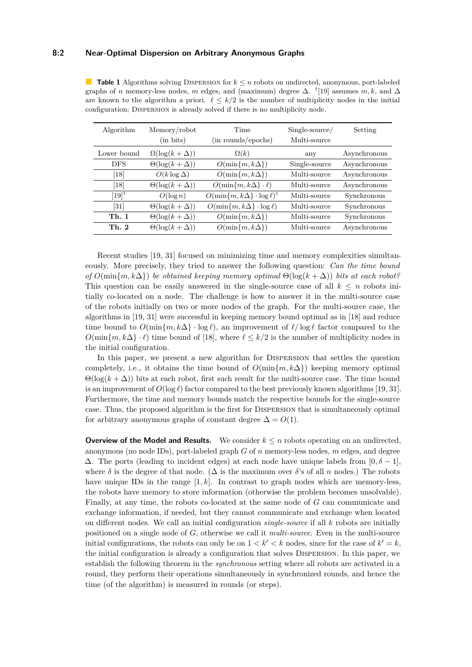#### **8:2 Near-Optimal Dispersion on Arbitrary Anonymous Graphs**

<span id="page-1-0"></span>**Table 1** Algorithms solving DISPERSION for  $k \leq n$  robots on undirected, anonymous, port-labeled graphs of *n* memory-less nodes, *m* edges, and (maximum) degree  $\Delta$ . <sup>†</sup>[\[19\]](#page-16-4) assumes *m*, *k*, and  $\Delta$ are known to the algorithm a priori.  $\ell \leq k/2$  is the number of multiplicity nodes in the initial configuration; Dispersion is already solved if there is no multiplicity node.

| Algorithm           | Memory/robot<br>(in bits) | Time<br>(in rounds/epochs)                        | $Single-source/$<br>Multi-source | Setting      |
|---------------------|---------------------------|---------------------------------------------------|----------------------------------|--------------|
| Lower bound         | $\Omega(\log(k+\Delta))$  | $\Omega(k)$                                       | any                              | Asynchronous |
| <b>DFS</b>          | $\Theta(\log(k+\Delta))$  | $O(\min\{m, k\Delta\})$                           | Single-source                    | Asynchronous |
| $\left[18\right]$   | $O(k \log \Delta)$        | $O(\min\{m, k\Delta\})$                           | Multi-source                     | Asynchronous |
| $\left[18\right]$   | $\Theta(\log(k+\Delta))$  | $O(\min\{m, k\Delta\} \cdot \ell)$                | Multi-source                     | Asynchronous |
| $[19]$ <sup>†</sup> | $O(\log n)$               | $O(\min\{m, k\Delta\} \cdot \log \ell)^{\dagger}$ | Multi-source                     | Synchronous  |
| $\left[31\right]$   | $\Theta(\log(k+\Delta))$  | $O(\min\{m, k\Delta\} \cdot \log \ell)$           | Multi-source                     | Synchronous  |
| <b>Th. 1</b>        | $\Theta(\log(k+\Delta))$  | $O(\min\{m, k\Delta\})$                           | Multi-source                     | Synchronous  |
| Th. 2               | $\Theta(\log(k+\Delta))$  | $O(\min\{m, k\Delta\})$                           | Multi-source                     | Asynchronous |

Recent studies [\[19,](#page-16-4) [31\]](#page-17-1) focused on minimizing time and memory complexities simultaneously. More precisely, they tried to answer the following question: *Can the time bound of*  $O(\min\{m, k\Delta\})$  *be obtained keeping memory optimal*  $\Theta(\log(k + \Delta))$  *bits at each robot?* This question can be easily answered in the single-source case of all  $k \leq n$  robots initially co-located on a node. The challenge is how to answer it in the multi-source case of the robots initially on two or more nodes of the graph. For the multi-source case, the algorithms in [\[19,](#page-16-4) [31\]](#page-17-1) were successful in keeping memory bound optimal as in [\[18\]](#page-16-1) and reduce time bound to  $O(\min\{m, k\Delta\}) \cdot \log \ell$ , an improvement of  $\ell/\log \ell$  factor compared to the  $O(\min\{m, k\Delta\} \cdot \ell)$  time bound of [\[18\]](#page-16-1), where  $\ell \leq k/2$  is the number of multiplicity nodes in the initial configuration.

In this paper, we present a new algorithm for Dispersion that settles the question completely, i.e., it obtains the time bound of  $O(\min\{m, k\Delta\})$  keeping memory optimal  $\Theta(\log(k + \Delta))$  bits at each robot, first such result for the multi-source case. The time bound is an improvement of  $O(\log \ell)$  factor compared to the best previously known algorithms [\[19,](#page-16-4) [31\]](#page-17-1). Furthermore, the time and memory bounds match the respective bounds for the single-source case. Thus, the proposed algorithm is the first for Dispersion that is simultaneously optimal for arbitrary anonymous graphs of constant degree  $\Delta = O(1)$ .

<span id="page-1-1"></span>**Overview of the Model and Results.** We consider  $k \leq n$  robots operating on an undirected, anonymous (no node IDs), port-labeled graph *G* of *n* memory-less nodes, *m* edges, and degree  $\Delta$ . The ports (leading to incident edges) at each node have unique labels from [0,  $\delta - 1$ ], where  $\delta$  is the degree of that node. ( $\Delta$  is the maximum over  $\delta$ 's of all *n* nodes.) The robots have unique IDs in the range  $[1, k]$ . In contrast to graph nodes which are memory-less, the robots have memory to store information (otherwise the problem becomes unsolvable). Finally, at any time, the robots co-located at the same node of *G* can communicate and exchange information, if needed, but they cannot communicate and exchange when located on different nodes. We call an initial configuration *single-source* if all *k* robots are initially positioned on a single node of *G*, otherwise we call it *multi-source*. Even in the multi-source initial configurations, the robots can only be on  $1 < k' < k$  nodes, since for the case of  $k' = k$ , the initial configuration is already a configuration that solves Dispersion. In this paper, we establish the following theorem in the *synchronous* setting where all robots are activated in a round, they perform their operations simultaneously in synchronized rounds, and hence the time (of the algorithm) is measured in rounds (or steps).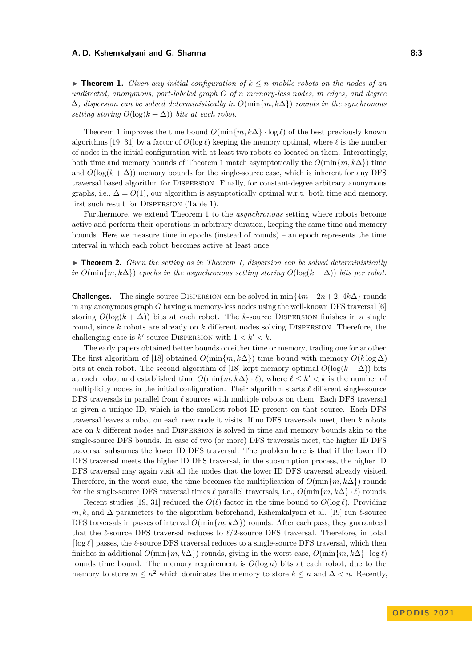#### **A. D. Kshemkalyani and G. Sharma 8:3**

▶ **Theorem 1.** *Given any initial configuration of*  $k ≤ n$  *mobile robots on the nodes of an undirected, anonymous, port-labeled graph G of n memory-less nodes, m edges, and degree* ∆*, dispersion can be solved deterministically in O*(min{*m, k*∆}) *rounds in the synchronous setting storing*  $O(\log(k + \Delta))$  *bits at each robot.* 

Theorem [1](#page-1-1) improves the time bound  $O(\min\{m, k\Delta\} \cdot \log \ell)$  of the best previously known algorithms [\[19,](#page-16-4) [31\]](#page-17-1) by a factor of  $O(\log \ell)$  keeping the memory optimal, where  $\ell$  is the number of nodes in the initial configuration with at least two robots co-located on them. Interestingly, both time and memory bounds of Theorem [1](#page-1-1) match asymptotically the  $O(\min\{m, k\Delta\})$  time and  $O(\log(k + \Delta))$  memory bounds for the single-source case, which is inherent for any DFS traversal based algorithm for Dispersion. Finally, for constant-degree arbitrary anonymous graphs, i.e.,  $\Delta = O(1)$ , our algorithm is asymptotically optimal w.r.t. both time and memory, first such result for Dispersion (Table [1\)](#page-1-1).

Furthermore, we extend Theorem [1](#page-1-1) to the *asynchronous* setting where robots become active and perform their operations in arbitrary duration, keeping the same time and memory bounds. Here we measure time in epochs (instead of rounds) – an epoch represents the time interval in which each robot becomes active at least once.

# <span id="page-2-0"></span>▶ **Theorem 2.** *Given the setting as in Theorem [1,](#page-1-1) dispersion can be solved deterministically in*  $O(\min\{m, k\Delta\})$  *epochs in the asynchronous setting storing*  $O(\log(k + \Delta))$  *bits per robot.*

**Challenges.** The single-source DISPERSION can be solved in min $\{4m - 2n + 2, 4k\Delta\}$  rounds in any anonymous graph *G* having *n* memory-less nodes using the well-known DFS traversal [\[6\]](#page-16-5) storing  $O(\log(k + \Delta))$  bits at each robot. The *k*-source DISPERSION finishes in a single round, since *k* robots are already on *k* different nodes solving Dispersion. Therefore, the challenging case is  $k'$ -source DISPERSION with  $1 < k' < k$ .

The early papers obtained better bounds on either time or memory, trading one for another. The first algorithm of [\[18\]](#page-16-1) obtained  $O(\min\{m, k\Delta\})$  time bound with memory  $O(k \log \Delta)$ bits at each robot. The second algorithm of [\[18\]](#page-16-1) kept memory optimal  $O(\log(k + \Delta))$  bits at each robot and established time  $O(\min\{m, k\Delta\} \cdot \ell)$ , where  $\ell \leq k' < k$  is the number of multiplicity nodes in the initial configuration. Their algorithm starts *ℓ* different single-source DFS traversals in parallel from  $\ell$  sources with multiple robots on them. Each DFS traversal is given a unique ID, which is the smallest robot ID present on that source. Each DFS traversal leaves a robot on each new node it visits. If no DFS traversals meet, then *k* robots are on *k* different nodes and Dispersion is solved in time and memory bounds akin to the single-source DFS bounds. In case of two (or more) DFS traversals meet, the higher ID DFS traversal subsumes the lower ID DFS traversal. The problem here is that if the lower ID DFS traversal meets the higher ID DFS traversal, in the subsumption process, the higher ID DFS traversal may again visit all the nodes that the lower ID DFS traversal already visited. Therefore, in the worst-case, the time becomes the multiplication of  $O(\min\{m, k\Delta\})$  rounds for the single-source DFS traversal times  $\ell$  parallel traversals, i.e.,  $O(\min\{m, k\Delta\} \cdot \ell)$  rounds.

Recent studies [\[19,](#page-16-4) [31\]](#page-17-1) reduced the  $O(\ell)$  factor in the time bound to  $O(\log \ell)$ . Providing *m, k,* and ∆ parameters to the algorithm beforehand, Kshemkalyani et al. [\[19\]](#page-16-4) run *ℓ*-source DFS traversals in passes of interval *O*(min{*m, k*∆}) rounds. After each pass, they guaranteed that the *ℓ*-source DFS traversal reduces to *ℓ/*2-source DFS traversal. Therefore, in total ⌈log *ℓ*⌉ passes, the *ℓ*-source DFS traversal reduces to a single-source DFS traversal, which then finishes in additional  $O(\min\{m, k\Delta\})$  rounds, giving in the worst-case,  $O(\min\{m, k\Delta\} \cdot \log \ell)$ rounds time bound. The memory requirement is  $O(\log n)$  bits at each robot, due to the memory to store  $m \leq n^2$  which dominates the memory to store  $k \leq n$  and  $\Delta < n$ . Recently,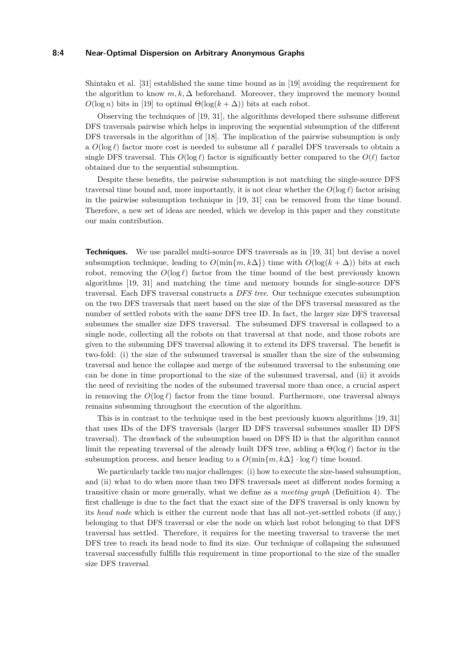#### **8:4 Near-Optimal Dispersion on Arbitrary Anonymous Graphs**

Shintaku et al. [\[31\]](#page-17-1) established the same time bound as in [\[19\]](#page-16-4) avoiding the requirement for the algorithm to know  $m, k, \Delta$  beforehand. Moreover, they improved the memory bound  $O(\log n)$  bits in [\[19\]](#page-16-4) to optimal  $\Theta(\log(k+\Delta))$  bits at each robot.

Observing the techniques of [\[19,](#page-16-4) [31\]](#page-17-1), the algorithms developed there subsume different DFS traversals pairwise which helps in improving the sequential subsumption of the different DFS traversals in the algorithm of [\[18\]](#page-16-1). The implication of the pairwise subsumption is only a *O*(log *ℓ*) factor more cost is needed to subsume all *ℓ* parallel DFS traversals to obtain a single DFS traversal. This  $O(\log \ell)$  factor is significantly better compared to the  $O(\ell)$  factor obtained due to the sequential subsumption.

Despite these benefits, the pairwise subsumption is not matching the single-source DFS traversal time bound and, more importantly, it is not clear whether the  $O(\log \ell)$  factor arising in the pairwise subsumption technique in [\[19,](#page-16-4) [31\]](#page-17-1) can be removed from the time bound. Therefore, a new set of ideas are needed, which we develop in this paper and they constitute our main contribution.

**Techniques.** We use parallel multi-source DFS traversals as in [\[19,](#page-16-4) [31\]](#page-17-1) but devise a novel subsumption technique, leading to  $O(\min\{m, k\Delta\})$  time with  $O(\log(k + \Delta))$  bits at each robot, removing the  $O(\log \ell)$  factor from the time bound of the best previously known algorithms [\[19,](#page-16-4) [31\]](#page-17-1) and matching the time and memory bounds for single-source DFS traversal. Each DFS traversal constructs a *DFS tree*. Our technique executes subsumption on the two DFS traversals that meet based on the size of the DFS traversal measured as the number of settled robots with the same DFS tree ID. In fact, the larger size DFS traversal subsumes the smaller size DFS traversal. The subsumed DFS traversal is collapsed to a single node, collecting all the robots on that traversal at that node, and those robots are given to the subsuming DFS traversal allowing it to extend its DFS traversal. The benefit is two-fold: (i) the size of the subsumed traversal is smaller than the size of the subsuming traversal and hence the collapse and merge of the subsumed traversal to the subsuming one can be done in time proportional to the size of the subsumed traversal, and (ii) it avoids the need of revisiting the nodes of the subsumed traversal more than once, a crucial aspect in removing the  $O(\log \ell)$  factor from the time bound. Furthermore, one traversal always remains subsuming throughout the execution of the algorithm.

This is in contrast to the technique used in the best previously known algorithms [\[19,](#page-16-4) [31\]](#page-17-1) that uses IDs of the DFS traversals (larger ID DFS traversal subsumes smaller ID DFS traversal). The drawback of the subsumption based on DFS ID is that the algorithm cannot limit the repeating traversal of the already built DFS tree, adding a Θ(log *ℓ*) factor in the subsumption process, and hence leading to a  $O(\min\{m, k\Delta\} \cdot \log \ell)$  time bound.

We particularly tackle two major challenges: (i) how to execute the size-based subsumption, and (ii) what to do when more than two DFS traversals meet at different nodes forming a transitive chain or more generally, what we define as a *meeting graph* (Definition [4\)](#page-8-0). The first challenge is due to the fact that the exact size of the DFS traversal is only known by its *head node* which is either the current node that has all not-yet-settled robots (if any,) belonging to that DFS traversal or else the node on which last robot belonging to that DFS traversal has settled. Therefore, it requires for the meeting traversal to traverse the met DFS tree to reach its head node to find its size. Our technique of collapsing the subsumed traversal successfully fulfills this requirement in time proportional to the size of the smaller size DFS traversal.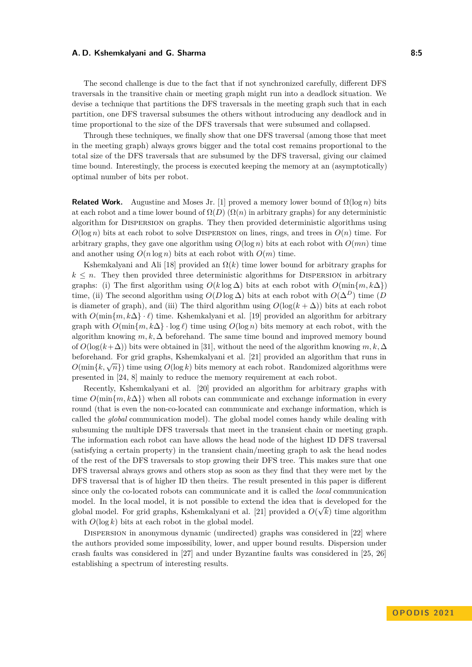#### **A. D. Kshemkalyani and G. Sharma 8:5** and 8:5

The second challenge is due to the fact that if not synchronized carefully, different DFS traversals in the transitive chain or meeting graph might run into a deadlock situation. We devise a technique that partitions the DFS traversals in the meeting graph such that in each partition, one DFS traversal subsumes the others without introducing any deadlock and in time proportional to the size of the DFS traversals that were subsumed and collapsed.

Through these techniques, we finally show that one DFS traversal (among those that meet in the meeting graph) always grows bigger and the total cost remains proportional to the total size of the DFS traversals that are subsumed by the DFS traversal, giving our claimed time bound. Interestingly, the process is executed keeping the memory at an (asymptotically) optimal number of bits per robot.

**Related Work.** Augustine and Moses Jr. [\[1\]](#page-16-0) proved a memory lower bound of  $\Omega(\log n)$  bits at each robot and a time lower bound of  $\Omega(D)$  ( $\Omega(n)$ ) in arbitrary graphs) for any deterministic algorithm for Dispersion on graphs. They then provided deterministic algorithms using  $O(\log n)$  bits at each robot to solve DISPERSION on lines, rings, and trees in  $O(n)$  time. For arbitrary graphs, they gave one algorithm using  $O(\log n)$  bits at each robot with  $O(mn)$  time and another using  $O(n \log n)$  bits at each robot with  $O(m)$  time.

Kshemkalyani and Ali [\[18\]](#page-16-1) provided an  $\Omega(k)$  time lower bound for arbitrary graphs for  $k \leq n$ . They then provided three deterministic algorithms for DISPERSION in arbitrary graphs: (i) The first algorithm using  $O(k \log \Delta)$  bits at each robot with  $O(\min\{m, k\Delta\})$ time, (ii) The second algorithm using  $O(D \log \Delta)$  bits at each robot with  $O(\Delta^D)$  time (*D*) is diameter of graph), and (iii) The third algorithm using  $O(\log(k + \Delta))$  bits at each robot with *O*(min{*m, k*Δ} · *ℓ*) time. Kshemkalyani et al. [\[19\]](#page-16-4) provided an algorithm for arbitrary graph with  $O(\min\{m, k\Delta\} \cdot \log \ell)$  time using  $O(\log n)$  bits memory at each robot, with the algorithm knowing  $m, k, \Delta$  beforehand. The same time bound and improved memory bound of  $O(\log(k+\Delta))$  bits were obtained in [\[31\]](#page-17-1), without the need of the algorithm knowing  $m, k, \Delta$ beforehand. For grid graphs, Kshemkalyani et al. [\[21\]](#page-17-2) provided an algorithm that runs in *O*(min{ $k$ ,  $\sqrt{n}$ ) time using *O*(log *k*) bits memory at each robot. Randomized algorithms were presented in [\[24,](#page-17-3) [8\]](#page-16-6) mainly to reduce the memory requirement at each robot.

Recently, Kshemkalyani et al. [\[20\]](#page-17-4) provided an algorithm for arbitrary graphs with time  $O(\min\{m, k\Delta\})$  when all robots can communicate and exchange information in every round (that is even the non-co-located can communicate and exchange information, which is called the *global* communication model). The global model comes handy while dealing with subsuming the multiple DFS traversals that meet in the transient chain or meeting graph. The information each robot can have allows the head node of the highest ID DFS traversal (satisfying a certain property) in the transient chain/meeting graph to ask the head nodes of the rest of the DFS traversals to stop growing their DFS tree. This makes sure that one DFS traversal always grows and others stop as soon as they find that they were met by the DFS traversal that is of higher ID then theirs. The result presented in this paper is different since only the co-located robots can communicate and it is called the *local* communication model. In the local model, it is not possible to extend the idea that is developed for the global model. For grid graphs, Kshemkalyani et al. [\[21\]](#page-17-2) provided a  $O(\sqrt{k})$  time algorithm with  $O(\log k)$  bits at each robot in the global model.

DISPERSION in anonymous dynamic (undirected) graphs was considered in [\[22\]](#page-17-0) where the authors provided some impossibility, lower, and upper bound results. Dispersion under crash faults was considered in [\[27\]](#page-17-5) and under Byzantine faults was considered in [\[25,](#page-17-6) [26\]](#page-17-7) establishing a spectrum of interesting results.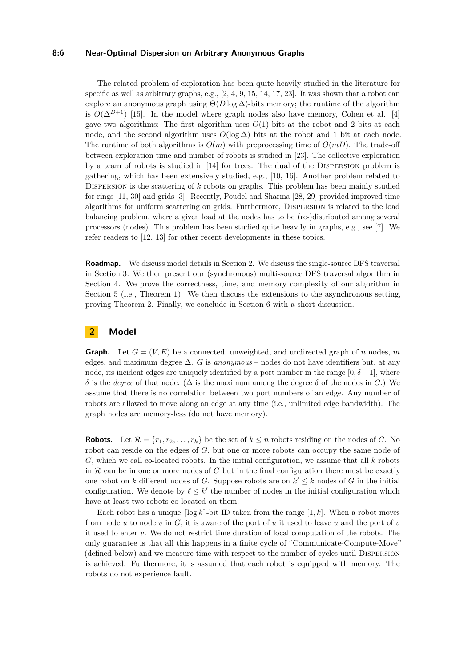#### **8:6 Near-Optimal Dispersion on Arbitrary Anonymous Graphs**

The related problem of exploration has been quite heavily studied in the literature for specific as well as arbitrary graphs, e.g.,  $[2, 4, 9, 15, 14, 17, 23]$  $[2, 4, 9, 15, 14, 17, 23]$  $[2, 4, 9, 15, 14, 17, 23]$  $[2, 4, 9, 15, 14, 17, 23]$  $[2, 4, 9, 15, 14, 17, 23]$  $[2, 4, 9, 15, 14, 17, 23]$  $[2, 4, 9, 15, 14, 17, 23]$  $[2, 4, 9, 15, 14, 17, 23]$  $[2, 4, 9, 15, 14, 17, 23]$  $[2, 4, 9, 15, 14, 17, 23]$  $[2, 4, 9, 15, 14, 17, 23]$  $[2, 4, 9, 15, 14, 17, 23]$  $[2, 4, 9, 15, 14, 17, 23]$ . It was shown that a robot can explore an anonymous graph using  $\Theta(D \log \Delta)$ -bits memory; the runtime of the algorithm is  $O(\Delta^{D+1})$  [\[15\]](#page-16-10). In the model where graph nodes also have memory, Cohen et al. [\[4\]](#page-16-8) gave two algorithms: The first algorithm uses  $O(1)$ -bits at the robot and 2 bits at each node, and the second algorithm uses  $O(\log \Delta)$  bits at the robot and 1 bit at each node. The runtime of both algorithms is  $O(m)$  with preprocessing time of  $O(mD)$ . The trade-off between exploration time and number of robots is studied in [\[23\]](#page-17-8). The collective exploration by a team of robots is studied in [\[14\]](#page-16-11) for trees. The dual of the Dispersion problem is gathering, which has been extensively studied, e.g., [\[10,](#page-16-13) [16\]](#page-16-14). Another problem related to Dispersion is the scattering of *k* robots on graphs. This problem has been mainly studied for rings [\[11,](#page-16-15) [30\]](#page-17-9) and grids [\[3\]](#page-16-16). Recently, Poudel and Sharma [\[28,](#page-17-10) [29\]](#page-17-11) provided improved time algorithms for uniform scattering on grids. Furthermore, Dispersion is related to the load balancing problem, where a given load at the nodes has to be (re-)distributed among several processors (nodes). This problem has been studied quite heavily in graphs, e.g., see [\[7\]](#page-16-17). We refer readers to [\[12,](#page-16-2) [13\]](#page-16-3) for other recent developments in these topics.

**Roadmap.** We discuss model details in Section [2.](#page-5-0) We discuss the single-source DFS traversal in Section [3.](#page-6-0) We then present our (synchronous) multi-source DFS traversal algorithm in Section [4.](#page-7-0) We prove the correctness, time, and memory complexity of our algorithm in Section [5](#page-11-0) (i.e., Theorem [1\)](#page-1-1). We then discuss the extensions to the asynchronous setting, proving Theorem [2.](#page-2-0) Finally, we conclude in Section [6](#page-15-0) with a short discussion.

# <span id="page-5-0"></span>**2 Model**

**Graph.** Let  $G = (V, E)$  be a connected, unweighted, and undirected graph of *n* nodes, *m* edges, and maximum degree ∆. *G* is *anonymous* – nodes do not have identifiers but, at any node, its incident edges are uniquely identified by a port number in the range  $[0, \delta -1]$ , where *δ* is the *degree* of that node. (∆ is the maximum among the degree *δ* of the nodes in *G*.) We assume that there is no correlation between two port numbers of an edge. Any number of robots are allowed to move along an edge at any time (i.e., unlimited edge bandwidth). The graph nodes are memory-less (do not have memory).

**Robots.** Let  $\mathcal{R} = \{r_1, r_2, \ldots, r_k\}$  be the set of  $k \leq n$  robots residing on the nodes of *G*. No robot can reside on the edges of *G*, but one or more robots can occupy the same node of *G*, which we call co-located robots. In the initial configuration, we assume that all *k* robots in  $R$  can be in one or more nodes of  $G$  but in the final configuration there must be exactly one robot on *k* different nodes of *G*. Suppose robots are on  $k' \leq k$  nodes of *G* in the initial configuration. We denote by  $\ell \leq k'$  the number of nodes in the initial configuration which have at least two robots co-located on them.

Each robot has a unique  $\lceil \log k \rceil$ -bit ID taken from the range  $\lceil 1, k \rceil$ . When a robot moves from node *u* to node *v* in *G*, it is aware of the port of *u* it used to leave *u* and the port of *v* it used to enter *v*. We do not restrict time duration of local computation of the robots. The only guarantee is that all this happens in a finite cycle of "Communicate-Compute-Move" (defined below) and we measure time with respect to the number of cycles until Dispersion is achieved. Furthermore, it is assumed that each robot is equipped with memory. The robots do not experience fault.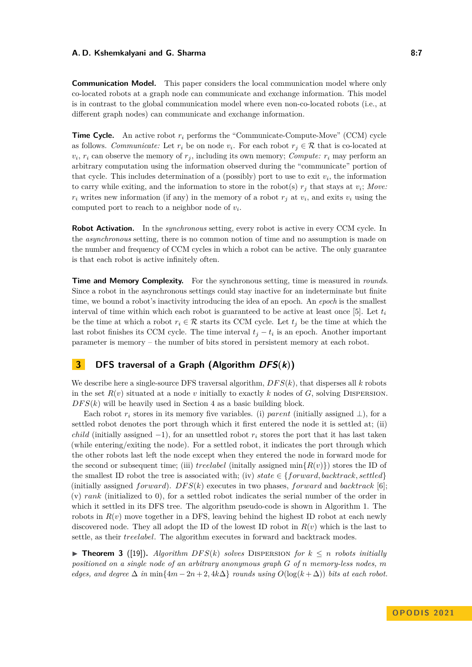#### **A. D. Kshemkalyani and G. Sharma 8:7 8:7 8:7 8:7**

**Communication Model.** This paper considers the local communication model where only co-located robots at a graph node can communicate and exchange information. This model is in contrast to the global communication model where even non-co-located robots (i.e., at different graph nodes) can communicate and exchange information.

**Time Cycle.** An active robot  $r_i$  performs the "Communicate-Compute-Move" (CCM) cycle as follows. *Communicate:* Let  $r_i$  be on node  $v_i$ . For each robot  $r_j \in \mathcal{R}$  that is co-located at  $v_i$ ,  $r_i$  can observe the memory of  $r_j$ , including its own memory; *Compute:*  $r_i$  may perform an arbitrary computation using the information observed during the "communicate" portion of that cycle. This includes determination of a (possibly) port to use to exit  $v_i$ , the information to carry while exiting, and the information to store in the robot(s)  $r_j$  that stays at  $v_i$ ; Move:  $r_i$  writes new information (if any) in the memory of a robot  $r_j$  at  $v_i$ , and exits  $v_i$  using the computed port to reach to a neighbor node of *v<sup>i</sup>* .

**Robot Activation.** In the *synchronous* setting, every robot is active in every CCM cycle. In the *asynchronous* setting, there is no common notion of time and no assumption is made on the number and frequency of CCM cycles in which a robot can be active. The only guarantee is that each robot is active infinitely often.

**Time and Memory Complexity.** For the synchronous setting, time is measured in *rounds*. Since a robot in the asynchronous settings could stay inactive for an indeterminate but finite time, we bound a robot's inactivity introducing the idea of an epoch. An *epoch* is the smallest interval of time within which each robot is guaranteed to be active at least once [\[5\]](#page-16-18). Let  $t_i$ be the time at which a robot  $r_i \in \mathcal{R}$  starts its CCM cycle. Let  $t_j$  be the time at which the last robot finishes its CCM cycle. The time interval  $t_j - t_i$  is an epoch. Another important parameter is memory – the number of bits stored in persistent memory at each robot.

# <span id="page-6-0"></span>**3 DFS traversal of a Graph (Algorithm DFS(k))**

We describe here a single-source DFS traversal algorithm, *DF S*(*k*), that disperses all *k* robots in the set  $R(v)$  situated at a node *v* initially to exactly *k* nodes of *G*, solving DISPERSION.  $DFS(k)$  will be heavily used in Section [4](#page-7-0) as a basic building block.

Each robot  $r_i$  stores in its memory five variables. (i) *parent* (initially assigned  $\perp$ ), for a settled robot denotes the port through which it first entered the node it is settled at; (ii) *child* (initially assigned  $-1$ ), for an unsettled robot  $r_i$  stores the port that it has last taken (while entering/exiting the node). For a settled robot, it indicates the port through which the other robots last left the node except when they entered the node in forward mode for the second or subsequent time; (iii) *treelabel* (initially assigned  $\min\{R(v)\}\$ ) stores the ID of the smallest ID robot the tree is associated with; (iv) *state*  $\in \{forward, backtrack, settled\}$ (initially assigned *forward*).  $DFS(k)$  executes in two phases, *forward* and *backtrack* [\[6\]](#page-16-5); (v) *rank* (initialized to 0), for a settled robot indicates the serial number of the order in which it settled in its DFS tree. The algorithm pseudo-code is shown in Algorithm [1.](#page-7-1) The robots in  $R(v)$  move together in a DFS, leaving behind the highest ID robot at each newly discovered node. They all adopt the ID of the lowest ID robot in  $R(v)$  which is the last to settle, as their *treelabel*. The algorithm executes in forward and backtrack modes.

<span id="page-6-1"></span> $\triangleright$  **Theorem 3** ([\[19\]](#page-16-4)). *Algorithm DFS(k) solves* DISPERSION for  $k \leq n$  robots initially *positioned on a single node of an arbitrary anonymous graph G of n memory-less nodes, m edges, and degree*  $\Delta$  *in* min $\{4m - 2n + 2, 4k\Delta\}$  *rounds using*  $O(\log(k + \Delta))$  *bits at each robot.*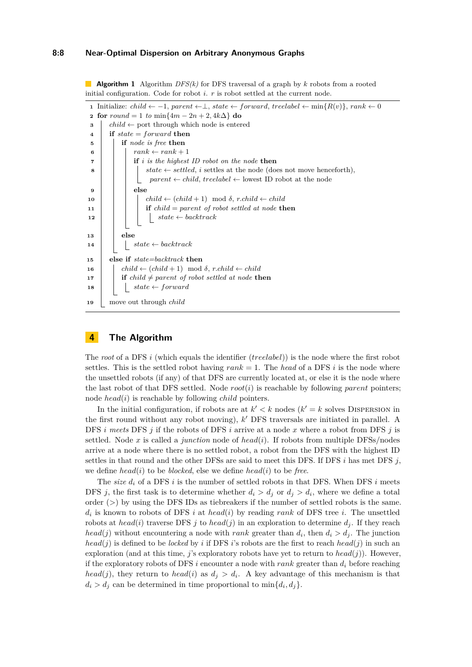#### **8:8 Near-Optimal Dispersion on Arbitrary Anonymous Graphs**

**Algorithm 1** Algorithm *DFS(k)* for DFS traversal of a graph by *k* robots from a rooted initial configuration. Code for robot *i*. *r* is robot settled at the current node.

```
1 Initialize: child \leftarrow -1, parent \leftarrow \perp, state \leftarrow forward, treelabel \leftarrow min\{R(v)\}\, rank \leftarrow 02 for round = 1 to min{4m - 2n + 2, 4k\Delta} do
 3 \int child \leftarrow port through which node is entered
 4 if state = forward then
 5 if node is free then
  6 \vert \vert \vert rank \leftarrow rank + 17 if i is the highest ID robot on the node then
  8 \vert j \vert state \leftarrow settled, i settles at the node (does not move henceforth),
                              parent \leftarrow child, treelabel \leftarrow lowest ID robot at the node9 else
10 \vert \vert \vert \vert child \leftarrow (child + 1) mod δ, r.child \leftarrow child
11 if child = parent of robot settled at node then
\begin{array}{|c|c|c|c|c|c|c|c|} \hline \end{array} 12 \begin{array}{|c|c|c|c|c|c|c|c|} \hline \end{array} states \leftarrow backtrack13 else
\begin{array}{c|c|c|c} \n\textbf{14} & \textbf{1} & \textbf{1} & \textbf{1} & \textbf{1} & \textbf{1} & \textbf{1} & \textbf{1} & \textbf{1} & \textbf{1} & \textbf{1} & \textbf{1} & \textbf{1} & \textbf{1} & \textbf{1} & \textbf{1} & \textbf{1} & \textbf{1} & \textbf{1} & \textbf{1} & \textbf{1} & \textbf{1} & \textbf{1} & \textbf{1} & \textbf{1} & \textbf{1} & \textbf{1} & \textbf{1} & \textbf{1} & \15 else if state=backtrack then
16 child ← \{child+1\} mod \delta, r\text{.child} \leftarrow child\bf{17} if child \neq parent of robot settled at node then
18 i j state \leftarrow forward
19 move out through child
```
# <span id="page-7-1"></span><span id="page-7-0"></span>**4 The Algorithm**

The *root* of a DFS *i* (which equals the identifier (*treelabel*)) is the node where the first robot settles. This is the settled robot having  $rank = 1$ . The *head* of a DFS *i* is the node where the unsettled robots (if any) of that DFS are currently located at, or else it is the node where the last robot of that DFS settled. Node *root*(*i*) is reachable by following *parent* pointers; node *head*(*i*) is reachable by following *child* pointers.

In the initial configuration, if robots are at  $k' < k$  nodes  $(k' = k$  solves DISPERSION in the first round without any robot moving), *k* ′ DFS traversals are initiated in parallel. A DFS *i meets* DFS *j* if the robots of DFS *i* arrive at a node *x* where a robot from DFS *j* is settled. Node *x* is called a *junction* node of *head*(*i*). If robots from multiple DFSs/nodes arrive at a node where there is no settled robot, a robot from the DFS with the highest ID settles in that round and the other DFSs are said to meet this DFS. If DFS  $i$  has met DFS  $j$ , we define *head*(*i*) to be *blocked*, else we define *head*(*i*) to be *free*.

The *size d<sup>i</sup>* of a DFS *i* is the number of settled robots in that DFS. When DFS *i* meets DFS *j*, the first task is to determine whether  $d_i > d_j$  or  $d_j > d_i$ , where we define a total order (*>*) by using the DFS IDs as tiebreakers if the number of settled robots is the same. *di* is known to robots of DFS *i* at *head*(*i*) by reading *rank* of DFS tree *i*. The unsettled robots at *head*(*i*) traverse DFS *j* to *head*(*j*) in an exploration to determine  $d_j$ . If they reach  $head(j)$  without encountering a node with *rank* greater than  $d_i$ , then  $d_i > d_j$ . The junction  $head(j)$  is defined to be *locked* by *i* if DFS *i*'s robots are the first to reach *head*(*j*) in such an exploration (and at this time,  $j$ 's exploratory robots have yet to return to  $head(j)$ ). However, if the exploratory robots of DFS *i* encounter a node with *rank* greater than *d<sup>i</sup>* before reaching *head*(*j*), they return to *head*(*i*) as  $d_j > d_i$ . A key advantage of this mechanism is that  $d_i > d_j$  can be determined in time proportional to  $\min\{d_i, d_j\}.$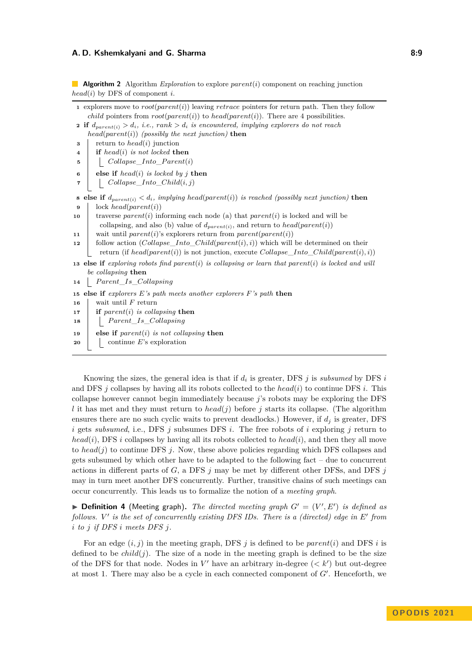#### **A. D. Kshemkalyani and G. Sharma 8:9 8:9 8:9 8:9 8:9 8:9 8:9 8:9 8:9 8:9 8:9 8:9 8:9 8:9 8:9 8:9 8:9 8:9 8:9 8:9 8:9 8:9 8:9 8:9 8:9 8:9 8:9 8:9 8:9 8:9 8:9 8:**

**Algorithm 2** Algorithm *Exploration* to explore *parent*(*i*) component on reaching junction *head*(*i*) by DFS of component *i*.

|                         | 1 explorers move to $root(parent(i))$ leaving retrace pointers for return path. Then they follow                                                                                  |  |  |  |  |
|-------------------------|-----------------------------------------------------------------------------------------------------------------------------------------------------------------------------------|--|--|--|--|
|                         | <i>child</i> pointers from $root(parent(i))$ to head(parent(i)). There are 4 possibilities.                                                                                       |  |  |  |  |
|                         | <b>2</b> if $d_{parent(i)} > d_i$ , <i>i.e.</i> , $rank > d_i$ <i>is encountered, implying explorers do not reach</i>                                                             |  |  |  |  |
|                         | $head(parent(i))$ (possibly the next junction) then                                                                                                                               |  |  |  |  |
| 3                       | return to $head(i)$ junction                                                                                                                                                      |  |  |  |  |
| 4                       | if head(i) is not locked then                                                                                                                                                     |  |  |  |  |
| 5                       | $Collapse\_Into\_Parent(i)$                                                                                                                                                       |  |  |  |  |
| 6                       | else if $head(i)$ is locked by j then                                                                                                                                             |  |  |  |  |
| $\overline{\mathbf{r}}$ | $\boxed{Collapse\_Into\_Child(i,j)}$                                                                                                                                              |  |  |  |  |
|                         | <b>8</b> else if $d_{parent(i)} < d_i$ , implying head(parent(i)) is reached (possibly next junction) then                                                                        |  |  |  |  |
| 9                       | $lock\ head(parent(i))$                                                                                                                                                           |  |  |  |  |
| 10                      | traverse $parent(i)$ informing each node (a) that $parent(i)$ is locked and will be                                                                                               |  |  |  |  |
|                         | collapsing, and also (b) value of $d_{parent(i)}$ , and return to $head(parent(i))$                                                                                               |  |  |  |  |
| 11                      | wait until parent(i)'s explorers return from parent(parent(i))                                                                                                                    |  |  |  |  |
| 12                      | follow action (Collapse_Into_Child(parent(i), i)) which will be determined on their<br>return (if $head(parent(i))$ ) is not junction, execute Collapse_Into_Child(parent(i), i)) |  |  |  |  |
|                         | 13 else if exploring robots find parent(i) is collapsing or learn that parent(i) is locked and will                                                                               |  |  |  |  |
|                         | be collapsing then                                                                                                                                                                |  |  |  |  |
| 14                      | $Parent\_Is\_Collapsing$                                                                                                                                                          |  |  |  |  |
|                         | 15 else if explorers E's path meets another explorers F's path then                                                                                                               |  |  |  |  |
| 16                      | wait until $F$ return                                                                                                                                                             |  |  |  |  |
| 17                      | if parent(i) is collapsing then                                                                                                                                                   |  |  |  |  |
| 18                      | $Parent\_Is\_Collapsing$                                                                                                                                                          |  |  |  |  |
| 19                      | else if $parent(i)$ is not collapsing then                                                                                                                                        |  |  |  |  |
| $\sim$                  | $\Box$ continue $F$ 's evrolention                                                                                                                                                |  |  |  |  |

<span id="page-8-1"></span>**<sup>20</sup>** continue *E*'s exploration

Knowing the sizes, the general idea is that if  $d_i$  is greater, DFS  $j$  is *subsumed* by DFS  $i$ and DFS *j* collapses by having all its robots collected to the *head*(*i*) to continue DFS *i*. This collapse however cannot begin immediately because *j*'s robots may be exploring the DFS *l* it has met and they must return to  $head(j)$  before *j* starts its collapse. (The algorithm ensures there are no such cyclic waits to prevent deadlocks.) However, if *d<sup>j</sup>* is greater, DFS *i* gets *subsumed*, i.e., DFS *j* subsumes DFS *i*. The free robots of *i* exploring *j* return to *head*(*i*), DFS *i* collapses by having all its robots collected to *head*(*i*), and then they all move to *head*(*j*) to continue DFS *j*. Now, these above policies regarding which DFS collapses and gets subsumed by which other have to be adapted to the following fact – due to concurrent actions in different parts of *G*, a DFS *j* may be met by different other DFSs, and DFS *j* may in turn meet another DFS concurrently. Further, transitive chains of such meetings can occur concurrently. This leads us to formalize the notion of a *meeting graph*.

<span id="page-8-0"></span> $\blacktriangleright$  **Definition 4** (Meeting graph). The directed meeting graph  $G' = (V', E')$  is defined as *follows. V* ′ *is the set of concurrently existing DFS IDs. There is a (directed) edge in E*′ *from i to j if DFS i meets DFS j.*

For an edge (*i, j*) in the meeting graph, DFS *j* is defined to be *parent*(*i*) and DFS *i* is defined to be  $child(j)$ . The size of a node in the meeting graph is defined to be the size of the DFS for that node. Nodes in  $V'$  have an arbitrary in-degree  $\left\langle \langle k' \rangle \right\rangle$  but out-degree at most 1. There may also be a cycle in each connected component of *G*′ . Henceforth, we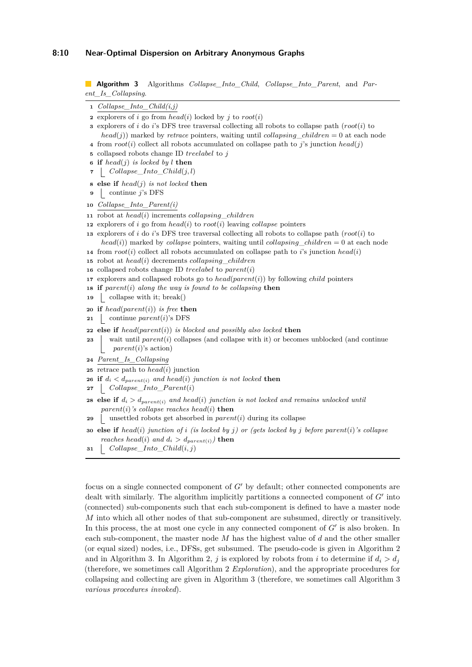#### **8:10 Near-Optimal Dispersion on Arbitrary Anonymous Graphs**

**Algorithm 3** Algorithms *Collapse\_Into\_Child*, *Collapse\_Into\_Parent*, and *Parent\_Is\_Collapsing*.

|  | $Collapse\_Into\_Child(i,j)$ |  |  |  |
|--|------------------------------|--|--|--|
|--|------------------------------|--|--|--|

**2** explorers of *i* go from  $head(i)$  locked by *j* to  $root(i)$ 

**<sup>3</sup>** explorers of *i* do *i*'s DFS tree traversal collecting all robots to collapse path (*root*(*i*) to  $head(j)$ ) marked by *retrace* pointers, waiting until *collapsing children* = 0 at each node

- **<sup>4</sup>** from *root*(*i*) collect all robots accumulated on collapse path to *j*'s junction *head*(*j*)
- **<sup>5</sup>** collapsed robots change ID *treelabel* to *j*
- **<sup>6</sup> if** *head*(*j*) *is locked by l* **then**
- **<sup>7</sup>** *Collapse*\_*Into*\_*Child*(*j, l*)
- **<sup>8</sup> else if** *head*(*j*) *is not locked* **then**
- **<sup>9</sup>** continue *j*'s DFS
- **<sup>10</sup>** *Collapse\_Into\_Parent(i)*
- **<sup>11</sup>** robot at *head*(*i*) increments *collapsing*\_*children*
- **<sup>12</sup>** explorers of *i* go from *head*(*i*) to *root*(*i*) leaving *collapse* pointers
- **<sup>13</sup>** explorers of *i* do *i*'s DFS tree traversal collecting all robots to collapse path (*root*(*i*) to  $head(i)$ ) marked by *collapse* pointers, waiting until *collapsing children* = 0 at each node
- **14** from  $root(i)$  collect all robots accumulated on collapse path to *i*'s junction  $head(i)$
- **<sup>15</sup>** robot at *head*(*i*) decrements *collapsing*\_*children*
- **<sup>16</sup>** collapsed robots change ID *treelabel* to *parent*(*i*)
- **<sup>17</sup>** explorers and collapsed robots go to *head*(*parent*(*i*)) by following *child* pointers
- **<sup>18</sup> if** *parent*(*i*) *along the way is found to be collapsing* **then**
- **19** collapse with it; break()
- **<sup>20</sup> if** *head*(*parent*(*i*)) *is free* **then**
- **<sup>21</sup>** continue *parent*(*i*)'s DFS
- **<sup>22</sup> else if** *head*(*parent*(*i*)) *is blocked and possibly also locked* **then**
- 23 wait until *parent*(*i*) collapses (and collapse with it) or becomes unblocked (and continue *parent*(*i*)'s action)
- **<sup>24</sup>** *Parent\_Is\_Collapsing*
- **<sup>25</sup>** retrace path to *head*(*i*) junction
- **26 if**  $d_i < d_{parent(i)}$  *and*  $head(i)$  *junction is not locked* **then**
- **<sup>27</sup>** *Collapse*\_*Into*\_*P arent*(*i*)
- **28 else if**  $d_i > d_{parent(i)}$  *and*  $head(i)$  *junction is not locked and remains unlocked until*  $parent(i)$ *'s collapse reaches head* $(i)$ **then**
- **<sup>29</sup>** unsettled robots get absorbed in *parent*(*i*) during its collapse
- **<sup>30</sup> else if** *head*(*i*) *junction of i (is locked by j) or (gets locked by j before parent*(*i*)*'s collapse reaches head*(*i*) *and*  $d_i > d_{parent(i)}$  **then**
- <span id="page-9-0"></span>**<sup>31</sup>** *Collapse*\_*Into*\_*Child*(*i, j*)

focus on a single connected component of *G*′ by default; other connected components are dealt with similarly. The algorithm implicitly partitions a connected component of *G'* into (connected) sub-components such that each sub-component is defined to have a master node *M* into which all other nodes of that sub-component are subsumed, directly or transitively. In this process, the at most one cycle in any connected component of  $G'$  is also broken. In each sub-component, the master node *M* has the highest value of *d* and the other smaller (or equal sized) nodes, i.e., DFSs, get subsumed. The pseudo-code is given in Algorithm [2](#page-8-1) and in Algorithm [3.](#page-9-0) In Algorithm [2,](#page-8-1) *j* is explored by robots from *i* to determine if  $d_i > d_j$ (therefore, we sometimes call Algorithm [2](#page-8-1) *Exploration*), and the appropriate procedures for collapsing and collecting are given in Algorithm [3](#page-9-0) (therefore, we sometimes call Algorithm [3](#page-9-0) *various procedures invoked*).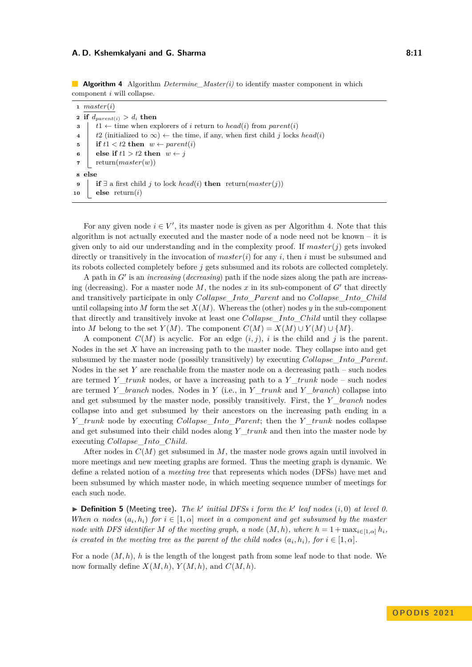#### **A. D. Kshemkalyani and G. Sharma 8:11 8:11 8:11**

**Algorithm 4** Algorithm *Determine\_Master(i)* to identify master component in which component *i* will collapse.

|                     | $1$ master(i)                                                                                                               |  |  |  |  |  |
|---------------------|-----------------------------------------------------------------------------------------------------------------------------|--|--|--|--|--|
|                     | 2 if $d_{parent(i)} > d_i$ then                                                                                             |  |  |  |  |  |
| 3                   | $t1 \leftarrow$ time when explorers of i return to head(i) from parent(i)                                                   |  |  |  |  |  |
| $\overline{\bf{4}}$ | t2 (initialized to $\infty$ ) $\leftarrow$ the time, if any, when first child j locks head(i)                               |  |  |  |  |  |
| 5                   | if $t1 < t2$ then $w \leftarrow parent(i)$                                                                                  |  |  |  |  |  |
| 6                   | else if $t1 > t2$ then $w \leftarrow i$                                                                                     |  |  |  |  |  |
| 7                   | return(master(w))                                                                                                           |  |  |  |  |  |
| 8 else              |                                                                                                                             |  |  |  |  |  |
| 9                   | <b>if</b> $\exists$ a first child <i>i</i> to lock <i>head</i> ( <i>i</i> ) <b>then</b> return( <i>master</i> ( <i>i</i> )) |  |  |  |  |  |
| 10                  | <b>else</b> return $(i)$                                                                                                    |  |  |  |  |  |

<span id="page-10-0"></span>For any given node  $i \in V'$ , its master node is given as per Algorithm [4.](#page-10-0) Note that this algorithm is not actually executed and the master node of a node need not be known – it is given only to aid our understanding and in the complexity proof. If  $master(j)$  gets invoked directly or transitively in the invocation of *master*(*i*) for any *i*, then *i* must be subsumed and its robots collected completely before *j* gets subsumed and its robots are collected completely.

A path in *G*′ is an *increasing* (*decreasing*) path if the node sizes along the path are increasing (decreasing). For a master node  $M$ , the nodes  $x$  in its sub-component of  $G'$  that directly and transitively participate in only *Collapse*\_*Into*\_*P arent* and no *Collapse*\_*Into*\_*Child* until collapsing into *M* form the set *X*(*M*). Whereas the (other) nodes *y* in the sub-component that directly and transitively invoke at least one *Collapse*\_*Into*\_*Child* until they collapse into *M* belong to the set  $Y(M)$ . The component  $C(M) = X(M) \cup Y(M) \cup \{M\}.$ 

A component  $C(M)$  is acyclic. For an edge  $(i, j)$ , i is the child and j is the parent. Nodes in the set *X* have an increasing path to the master node. They collapse into and get subsumed by the master node (possibly transitively) by executing *Collapse*\_*Into*\_*P arent*. Nodes in the set *Y* are reachable from the master node on a decreasing path – such nodes are termed *Y*  ${trunk}$  nodes, or have a increasing path to a *Y*  ${trunk}$  node – such nodes are termed *Y*  $\alpha$  *branch* nodes. Nodes in *Y* (i.e., in *Y*  $\alpha$ *trunk* and *Y*  $\alpha$  *branch*) collapse into and get subsumed by the master node, possibly transitively. First, the *Y* \_*branch* nodes collapse into and get subsumed by their ancestors on the increasing path ending in a *Y* \_*trunk* node by executing *Collapse*\_*Into*\_*P arent*; then the *Y* \_*trunk* nodes collapse and get subsumed into their child nodes along *Y* \_*trunk* and then into the master node by executing *Collapse*\_*Into*\_*Child*.

After nodes in *C*(*M*) get subsumed in *M*, the master node grows again until involved in more meetings and new meeting graphs are formed. Thus the meeting graph is dynamic. We define a related notion of a *meeting tree* that represents which nodes (DFSs) have met and been subsumed by which master node, in which meeting sequence number of meetings for each such node.

▶ **Definition 5** (Meeting tree)**.** *The k* ′ *initial DFSs i form the k* ′ *leaf nodes* (*i,* 0) *at level 0. When*  $\alpha$  *nodes*  $(a_i, h_i)$  *for*  $i \in [1, \alpha]$  *meet in a component and get subsumed by the master node with DFS identifier M of the meeting graph, a node*  $(M, h)$ *, where*  $h = 1 + \max_{i \in [1, \alpha]} h_i$ *, is created in the meeting tree as the parent of the child nodes*  $(a_i, h_i)$ , for  $i \in [1, \alpha]$ *.* 

For a node  $(M, h)$ , *h* is the length of the longest path from some leaf node to that node. We now formally define  $X(M, h)$ ,  $Y(M, h)$ , and  $C(M, h)$ .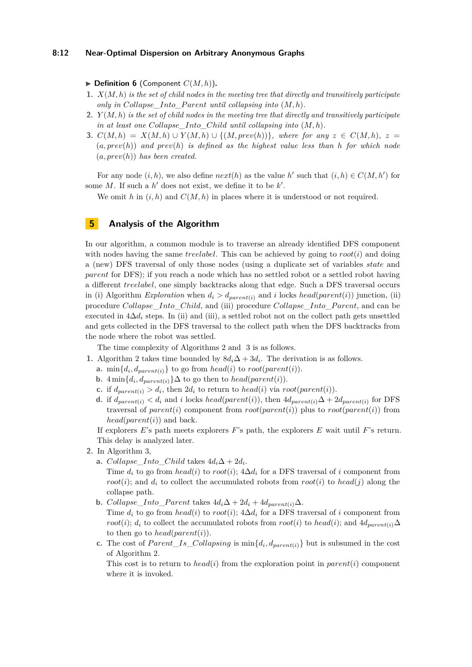#### **8:12 Near-Optimal Dispersion on Arbitrary Anonymous Graphs**

 $\blacktriangleright$  **Definition 6** (Component  $C(M, h)$ ).

- **1.** *X*(*M, h*) *is the set of child nodes in the meeting tree that directly and transitively participate only in Collapse Into Parent until collapsing into*  $(M, h)$ *.*
- **2.** *Y* (*M, h*) *is the set of child nodes in the meeting tree that directly and transitively participate in at least one Collapse\_Into\_Child until collapsing into* (*M, h*)*.*
- **3.**  $C(M, h) = X(M, h) \cup Y(M, h) \cup \{(M, prev(h))\}$ , where for any  $z \in C(M, h)$ ,  $z =$ (*a, prev*(*h*)) *and prev*(*h*) *is defined as the highest value less than h for which node* (*a, prev*(*h*)) *has been created.*

For any node  $(i, h)$ , we also define  $next(h)$  as the value  $h'$  such that  $(i, h) \in C(M, h')$  for some  $M$ . If such a  $h'$  does not exist, we define it to be  $k'$ .

We omit h in  $(i, h)$  and  $C(M, h)$  in places where it is understood or not required.

# <span id="page-11-0"></span>**5 Analysis of the Algorithm**

In our algorithm, a common module is to traverse an already identified DFS component with nodes having the same *treelabel*. This can be achieved by going to  $root(i)$  and doing a (new) DFS traversal of only those nodes (using a duplicate set of variables *state* and *parent* for DFS); if you reach a node which has no settled robot or a settled robot having a different *treelabel*, one simply backtracks along that edge. Such a DFS traversal occurs in (i) Algorithm *Exploration* when  $d_i > d_{parent(i)}$  and *i* locks *head*(*parent*(*i*)) junction, (ii) procedure *Collapse*\_*Into*\_*Child*, and (iii) procedure *Collapse*\_*Into*\_*P arent*, and can be executed in 4∆*d<sup>i</sup>* steps. In (ii) and (iii), a settled robot not on the collect path gets unsettled and gets collected in the DFS traversal to the collect path when the DFS backtracks from the node where the robot was settled.

The time complexity of Algorithms [2](#page-8-1) and [3](#page-9-0) is as follows.

- **1.** Algorithm [2](#page-8-1) takes time bounded by  $8d_i\Delta + 3d_i$ . The derivation is as follows.
	- **a.** min $\{d_i, d_{parent(i)}\}$  to go from *head*(*i*) to *root*(*parent*(*i*)).
	- **b.** 4 min ${d_i, d_{parent(i)}}$  ∆ to go then to *head*(*parent*(*i*)).
	- **c.** if  $d_{parent(i)} > d_i$ , then  $2d_i$  to return to  $head(i)$  via  $root(parent(i))$ .
	- **d.** if  $d_{parent(i)} < d_i$  and *i* locks  $head(parent(i))$ , then  $4d_{parent(i)}$ ∆ +  $2d_{parent(i)}$  for DFS traversal of *parent*(*i*) component from  $root(parent(i))$  plus to  $root(parent(i))$  from  $head(parent(i))$  and back.

If explorers *E*'s path meets explorers *F*'s path, the explorers *E* wait until *F*'s return. This delay is analyzed later.

- **2.** In Algorithm [3,](#page-9-0)
	- **a.**  $Collapse\_Into\_Child$  takes  $4d_i\Delta + 2d_i$ .

Time  $d_i$  to go from  $head(i)$  to  $root(i)$ ;  $4\Delta d_i$  for a DFS traversal of *i* component from *root*(*i*); and  $d_i$  to collect the accumulated robots from  $root(i)$  to  $head(j)$  along the collapse path.

- **b.** *Collapse\_Into\_Parent* takes  $4d_i\Delta + 2d_i + 4d_{parent(i)}\Delta$ . Time  $d_i$  to go from  $head(i)$  to  $root(i)$ ;  $4\Delta d_i$  for a DFS traversal of *i* component from *root*(*i*); *d<sub>i</sub>* to collect the accumulated robots from *root*(*i*) to *head*(*i*); and  $4d_{parent(i)}\Delta$ to then go to *head*( $parent(i)$ ).
- **c.** The cost of  $Parent\_Is\_Collapsing$  is  $min\{d_i, d_{parent(i)}\}$  but is subsumed in the cost of Algorithm [2.](#page-8-1)

This cost is to return to *head*(*i*) from the exploration point in *parent*(*i*) component where it is invoked.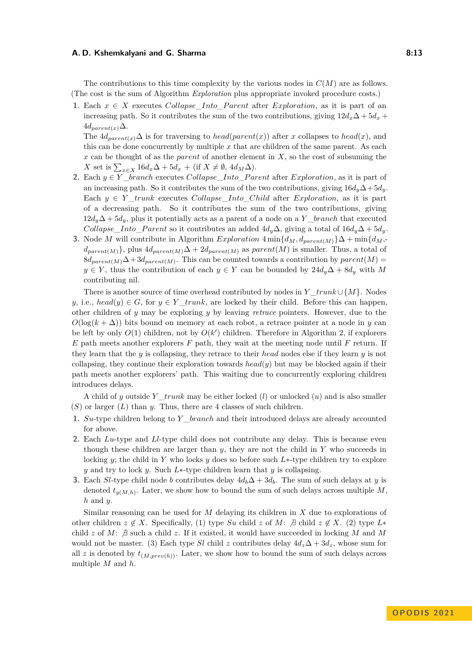#### **A. D. Kshemkalyani and G. Sharma 8:13 8:13**

The contributions to this time complexity by the various nodes in *C*(*M*) are as follows. (The cost is the sum of Algorithm *Exploration* plus appropriate invoked procedure costs.)

**1.** Each  $x \in X$  executes *Collapse* Into Parent after *Exploration*, as it is part of an increasing path. So it contributes the sum of the two contributions, giving  $12d_x\Delta + 5d_x$  +  $4d_{parent(x)}\Delta$ .

The  $4d_{parent(x)}\Delta$  is for traversing to *head*(*parent*(*x*)) after *x* collapses to *head*(*x*), and this can be done concurrently by multiple  $x$  that are children of the same parent. As each *x* can be thought of as the *parent* of another element in *X*, so the cost of subsuming the  $X$  set is  $\sum_{x \in X} 16d_x \Delta + 5d_x + (\text{if } X \neq \emptyset, 4d_M \Delta).$ 

- **2.** Each  $y \in Y$  \_*branch* executes *Collapse*\_*Into*\_*Parent* after *Exploration*, as it is part of an increasing path. So it contributes the sum of the two contributions, giving  $16d_y\Delta + 5d_y$ . Each  $y \in Y$  *trunk* executes *Collapse Into Child* after *Exploration*, as it is part of a decreasing path. So it contributes the sum of the two contributions, giving  $12d_y\Delta + 5d_y$ , plus it potentially acts as a parent of a node on a *Y* \_*branch* that executed *Collapse\_Into\_Parent* so it contributes an added  $4d_y\Delta$ , giving a total of  $16d_y\Delta + 5d_y$ .
- **3.** Node *M* will contribute in Algorithm *Exploration*  $4 \min\{d_M, d_{parent(M)}\}\Delta + \min\{d_M, d_M\}$  $d_{parent(M)}$ }, plus  $4d_{parent(M)}$ ∆ +  $2d_{parent(M)}$  as *parent*(*M*) is smaller. Thus, a total of  $8d_{parent(M)}\Delta+3d_{parent(M)}$ . This can be counted towards a contribution by  $parent(M)$ *y* ∈ *Y*, thus the contribution of each *y* ∈ *Y* can be bounded by  $24d_y\Delta + 8d_y$  with *M* contributing nil.

There is another source of time overhead contributed by nodes in *Y* \_*trunk*∪ {*M*}. Nodes *y*, i.e., *head*(*y*)  $\in G$ , for  $y \in Y$  *trunk*, are locked by their child. Before this can happen, other children of *y* may be exploring *y* by leaving *retrace* pointers. However, due to the  $O(\log(k + \Delta))$  bits bound on memory at each robot, a retrace pointer at a node in *y* can be left by only  $O(1)$  children, not by  $O(k')$  children. Therefore in Algorithm [2,](#page-8-1) if explorers *E* path meets another explorers *F* path, they wait at the meeting node until *F* return. If they learn that the *y* is collapsing, they retrace to their *head* nodes else if they learn *y* is not collapsing, they continue their exploration towards  $head(y)$  but may be blocked again if their path meets another explorers' path. This waiting due to concurrently exploring children introduces delays.

A child of *y* outside *Y* \_*trunk* may be either locked (*l*) or unlocked (*u*) and is also smaller (*S*) or larger (*L*) than *y*. Thus, there are 4 classes of such children.

- **1.** *Su*-type children belong to *Y* \_*branch* and their introduced delays are already accounted for above.
- **2.** Each *Lu*-type and *Ll*-type child does not contribute any delay. This is because even though these children are larger than *y*, they are not the child in *Y* who succeeds in locking *y*; the child in *Y* who locks *y* does so before such *L*∗-type children try to explore *y* and try to lock *y*. Such *L*∗-type children learn that *y* is collapsing.
- **3.** Each *Sl*-type child node *b* contributes delay  $4d_b\Delta + 3d_b$ . The sum of such delays at *y* is denoted  $t_{y(M,h)}$ . Later, we show how to bound the sum of such delays across multiple  $M$ , *h* and *y*.

Similar reasoning can be used for *M* delaying its children in *X* due to explorations of other children  $z \notin X$ . Specifically, (1) type *Su* child  $z$  of *M*:  $\bar{z}$  child  $z \notin X$ . (2) type  $L^*$ child  $z$  of  $M$ :  $\sharp$  such a child  $z$ . If it existed, it would have succeeded in locking  $M$  and  $M$ would not be master. (3) Each type *Sl* child *z* contributes delay  $4d_z\Delta + 3d_z$ , whose sum for all *z* is denoted by  $t_{(M,prev(h))}$ . Later, we show how to bound the sum of such delays across multiple *M* and *h*.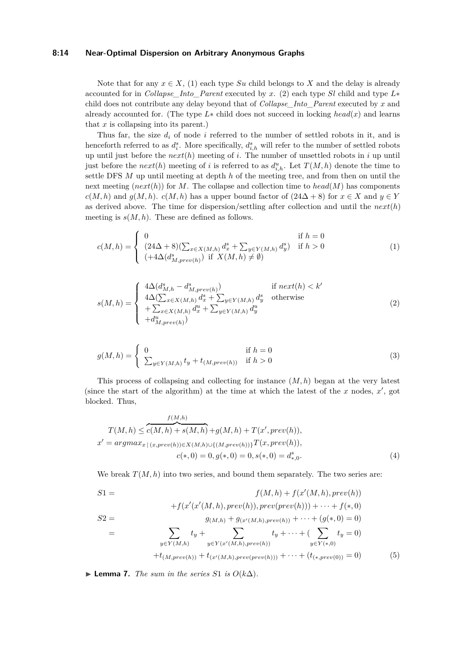### **8:14 Near-Optimal Dispersion on Arbitrary Anonymous Graphs**

Note that for any  $x \in X$ , (1) each type  $Su$  child belongs to X and the delay is already accounted for in *Collapse* Into Parent executed by *x*. (2) each type *Sl* child and type  $L^*$ child does not contribute any delay beyond that of *Collapse\_Into\_Parent* executed by *x* and already accounted for. (The type *L*∗ child does not succeed in locking *head*(*x*) and learns that *x* is collapsing into its parent.)

Thus far, the size *d<sup>i</sup>* of node *i* referred to the number of settled robots in it, and is henceforth referred to as  $d_i^s$ . More specifically,  $d_{i,h}^s$  will refer to the number of settled robots up until just before the *next*(*h*) meeting of *i*. The number of unsettled robots in *i* up until just before the  $next(h)$  meeting of *i* is referred to as  $d_{i,h}^u$ . Let  $T(M, h)$  denote the time to settle DFS *M* up until meeting at depth *h* of the meeting tree, and from then on until the next meeting  $(next(h))$  for *M*. The collapse and collection time to  $head(M)$  has components  $c(M, h)$  and  $g(M, h)$ .  $c(M, h)$  has a upper bound factor of  $(24\Delta + 8)$  for  $x \in X$  and  $y \in Y$ as derived above. The time for dispersion/settling after collection and until the *next*(*h*) meeting is  $s(M, h)$ . These are defined as follows.

$$
c(M, h) = \begin{cases} 0 & \text{if } h = 0\\ (24\Delta + 8)(\sum_{x \in X(M, h)} d_x^s + \sum_{y \in Y(M, h)} d_y^s) & \text{if } h > 0\\ (+4\Delta(d_{M,prev(h)}^s) & \text{if } X(M, h) \neq \emptyset) \end{cases}
$$
(1)

$$
s(M,h) = \begin{cases} 4\Delta(d_{M,h}^s - d_{M,prev(h)}^s) & \text{if } next(h) < k' \\ 4\Delta(\sum_{x \in X(M,h)} d_x^s + \sum_{y \in Y(M,h)} d_y^s & \text{otherwise} \\ + \sum_{x \in X(M,h)} d_x^u + \sum_{y \in Y(M,h)} d_y^u & \text{otherwise} \\ + d_{M,prev(h)}^u) \end{cases} (2)
$$

$$
g(M,h) = \begin{cases} 0 & \text{if } h = 0\\ \sum_{y \in Y(M,h)} t_y + t_{(M,prev(h))} & \text{if } h > 0 \end{cases}
$$
 (3)

This process of collapsing and collecting for instance (*M, h*) began at the very latest (since the start of the algorithm) at the time at which the latest of the  $x$  nodes,  $x'$ , got blocked. Thus,

$$
T(M, h) \leq \overbrace{c(M, h) + s(M, h)}^{f(M, h)} + g(M, h) + T(x', prev(h)),
$$
  
\n
$$
x' = argmax_{x \mid (x, prev(h)) \in X(M, h) \cup \{(M, prev(h))\}} T(x, prev(h)),
$$
  
\n
$$
c(*, 0) = 0, g(*, 0) = 0, s(*, 0) = d_{*,0}^s.
$$
\n(4)

We break  $T(M, h)$  into two series, and bound them separately. The two series are:

$$
S1 = f(M, h) + f(x'(M, h), prev(h))
$$
  
\n
$$
S2 = g(M, h) + g(x'(M, h), prev(prev(h))) + \cdots + f(*, 0)
$$
  
\n
$$
S2 = g(M, h) + g(x'(M, h), prev(h)) + \cdots + (g(*, 0) = 0)
$$
  
\n
$$
= \sum_{y \in Y(M, h)} t_y + \sum_{y \in Y(x'(M, h), prev(h))} t_y + \cdots + (\sum_{y \in Y(*, 0)} t_y = 0)
$$
  
\n
$$
+ t_{(M, prev(h))} + t_{(x'(M, h), prev(prev(h)))} + \cdots + (t_{(*, prev(0))} = 0)
$$
 (5)

<span id="page-13-0"></span>▶ **Lemma 7.** *The sum in the series*  $S1$  *is*  $O(k\Delta)$ *.*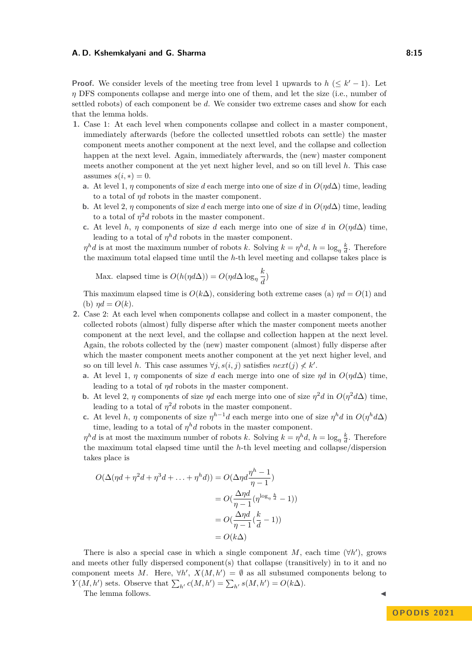#### **A. D. Kshemkalyani and G. Sharma 8:15 8:15**

**Proof.** We consider levels of the meeting tree from level 1 upwards to  $h \leq k' - 1$ . Let *η* DFS components collapse and merge into one of them, and let the size (i.e., number of settled robots) of each component be *d*. We consider two extreme cases and show for each that the lemma holds.

- **1.** Case 1: At each level when components collapse and collect in a master component, immediately afterwards (before the collected unsettled robots can settle) the master component meets another component at the next level, and the collapse and collection happen at the next level. Again, immediately afterwards, the (new) master component meets another component at the yet next higher level, and so on till level *h*. This case assumes  $s(i, *) = 0$ .
	- **a.** At level 1, *η* components of size *d* each merge into one of size *d* in  $O(\eta d\Delta)$  time, leading to a total of *ηd* robots in the master component.
	- **b.** At level 2, *η* components of size *d* each merge into one of size *d* in  $O(n d\Delta)$  time, leading to a total of  $\eta^2 d$  robots in the master component.
	- **c.** At level *h*, *η* components of size *d* each merge into one of size *d* in  $O(\eta d\Delta)$  time, leading to a total of  $\eta^h d$  robots in the master component.

*n*<sup>*h*</sup>*d* is at most the maximum number of robots *k*. Solving  $k = \eta^h d$ ,  $h = \log_{\eta} \frac{k}{d}$ . Therefore the maximum total elapsed time until the *h*-th level meeting and collapse takes place is

Max. elapsed time is  $O(h(\eta d\Delta)) = O(\eta d\Delta \log_{\eta} \frac{k}{d\Delta})$  $\frac{a}{d}$ 

This maximum elapsed time is  $O(k\Delta)$ , considering both extreme cases (a)  $\eta d = O(1)$  and (b)  $\eta d = O(k)$ .

- **2.** Case 2: At each level when components collapse and collect in a master component, the collected robots (almost) fully disperse after which the master component meets another component at the next level, and the collapse and collection happen at the next level. Again, the robots collected by the (new) master component (almost) fully disperse after which the master component meets another component at the yet next higher level, and so on till level *h*. This case assumes  $\forall j, s(i, j)$  satisfies  $next(j) \nless k'$ .
	- **a.** At level 1, *η* components of size *d* each merge into one of size *ηd* in  $O(\eta d\Delta)$  time, leading to a total of *ηd* robots in the master component.
	- **b.** At level 2,  $\eta$  components of size  $\eta d$  each merge into one of size  $\eta^2 d$  in  $O(\eta^2 d\Delta)$  time, leading to a total of  $\eta^2 d$  robots in the master component.
	- **c.** At level *h*, *η* components of size  $\eta^{h-1}d$  each merge into one of size  $\eta^h d$  in  $O(\eta^h d\Delta)$ time, leading to a total of  $\eta^h d$  robots in the master component.

*n*<sup>*h*</sup>*d* is at most the maximum number of robots *k*. Solving  $k = \eta^h d$ ,  $h = \log_{\eta} \frac{k}{d}$ . Therefore the maximum total elapsed time until the *h*-th level meeting and collapse/dispersion takes place is

$$
O(\Delta(\eta d + \eta^2 d + \eta^3 d + \dots + \eta^h d)) = O(\Delta \eta d \frac{\eta^h - 1}{\eta - 1})
$$
  
= 
$$
O(\frac{\Delta \eta d}{\eta - 1} (\eta^{\log_{\eta} \frac{k}{d}} - 1))
$$
  
= 
$$
O(\frac{\Delta \eta d}{\eta - 1} (\frac{k}{d} - 1))
$$
  
= 
$$
O(k\Delta)
$$

There is also a special case in which a single component  $M$ , each time  $(\forall h')$ , grows and meets other fully dispersed component(s) that collapse (transitively) in to it and no component meets *M*. Here,  $\forall h', X(M, h') = \emptyset$  as all subsumed components belong to *Y*(*M, h'*) sets. Observe that  $\sum_{h'} c(M, h') = \sum_{h'} s(M, h') = O(k\Delta)$ .

<span id="page-14-0"></span>The lemma follows.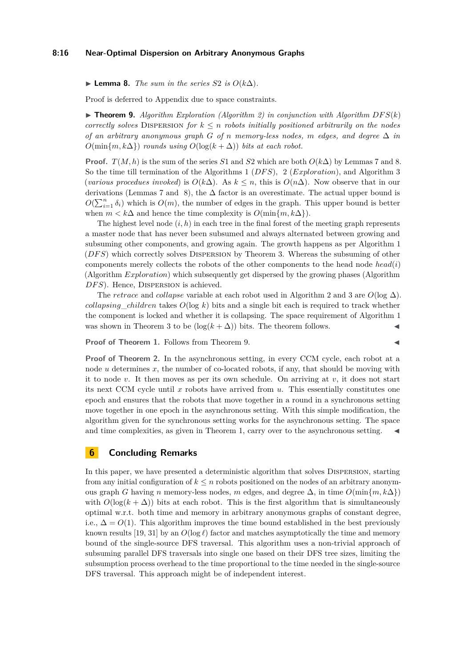#### **8:16 Near-Optimal Dispersion on Arbitrary Anonymous Graphs**

▶ **Lemma 8.** *The sum in the series*  $S2$  *is*  $O(k\Delta)$ *.* 

<span id="page-15-1"></span>Proof is deferred to Appendix due to space constraints.

 $\triangleright$  **Theorem 9.** Algorithm Exploration (Algorithm [2\)](#page-8-1) in conjunction with Algorithm DFS(k) *correctly solves* DISPERSION *for*  $k \leq n$  *robots initially positioned arbitrarily on the nodes of an arbitrary anonymous graph*  $G$  *of*  $n$  *memory-less nodes,*  $m$  *edges, and degree*  $\Delta$  *in*  $O(\min\{m, k\Delta\})$  *rounds using*  $O(\log(k + \Delta))$  *bits at each robot.* 

**Proof.**  $T(M, h)$  is the sum of the series *S*1 and *S*2 which are both  $O(k\Delta)$  by Lemmas [7](#page-13-0) and [8.](#page-14-0) So the time till termination of the Algorithms [1](#page-7-1) (*DF S*), [2](#page-8-1) (*Exploration*), and Algorithm [3](#page-9-0) (*various procedues invoked*) is  $O(k\Delta)$ . As  $k \leq n$ , this is  $O(n\Delta)$ . Now observe that in our derivations (Lemmas [7](#page-13-0) and [8\)](#page-14-0), the  $\Delta$  factor is an overestimate. The actual upper bound is  $O(\sum_{i=1}^{n} \delta_i)$  which is  $O(m)$ , the number of edges in the graph. This upper bound is better when  $m < k\Delta$  and hence the time complexity is  $O(\min\{m, k\Delta\})$ .

The highest level node  $(i, h)$  in each tree in the final forest of the meeting graph represents a master node that has never been subsumed and always alternated between growing and subsuming other components, and growing again. The growth happens as per Algorithm [1](#page-7-1) (*DF S*) which correctly solves Dispersion by Theorem [3.](#page-6-1) Whereas the subsuming of other components merely collects the robots of the other components to the head node *head*(*i*) (Algorithm *Exploration*) which subsequently get dispersed by the growing phases (Algorithm DFS). Hence, DISPERSION is achieved.

The *retrace* and *collapse* variable at each robot used in Algorithm [2](#page-8-1) and [3](#page-9-0) are  $O(\log \Delta)$ . *collapsing*\_*children* takes *O*(log *k*) bits and a single bit each is required to track whether the component is locked and whether it is collapsing. The space requirement of Algorithm [1](#page-7-1) was shown in Theorem [3](#page-6-1) to be  $(\log(k + \Delta))$  bits. The theorem follows.

**Proof of Theorem [1.](#page-1-1)** Follows from Theorem [9.](#page-15-1) ◀

**Proof of Theorem [2.](#page-2-0)** In the asynchronous setting, in every CCM cycle, each robot at a node *u* determines *x*, the number of co-located robots, if any, that should be moving with it to node *v*. It then moves as per its own schedule. On arriving at *v*, it does not start its next CCM cycle until *x* robots have arrived from *u*. This essentially constitutes one epoch and ensures that the robots that move together in a round in a synchronous setting move together in one epoch in the asynchronous setting. With this simple modification, the algorithm given for the synchronous setting works for the asynchronous setting. The space and time complexities, as given in Theorem [1,](#page-1-1) carry over to the asynchronous setting.

# <span id="page-15-0"></span>**6 Concluding Remarks**

In this paper, we have presented a deterministic algorithm that solves Dispersion, starting from any initial configuration of  $k \leq n$  robots positioned on the nodes of an arbitrary anonymous graph *G* having *n* memory-less nodes, *m* edges, and degree  $\Delta$ , in time  $O(\min\{m, k\Delta\})$ with  $O(\log(k + \Delta))$  bits at each robot. This is the first algorithm that is simultaneously optimal w.r.t. both time and memory in arbitrary anonymous graphs of constant degree, i.e.,  $\Delta = O(1)$ . This algorithm improves the time bound established in the best previously known results [\[19,](#page-16-4) [31\]](#page-17-1) by an  $O(\log \ell)$  factor and matches asymptotically the time and memory bound of the single-source DFS traversal. This algorithm uses a non-trivial approach of subsuming parallel DFS traversals into single one based on their DFS tree sizes, limiting the subsumption process overhead to the time proportional to the time needed in the single-source DFS traversal. This approach might be of independent interest.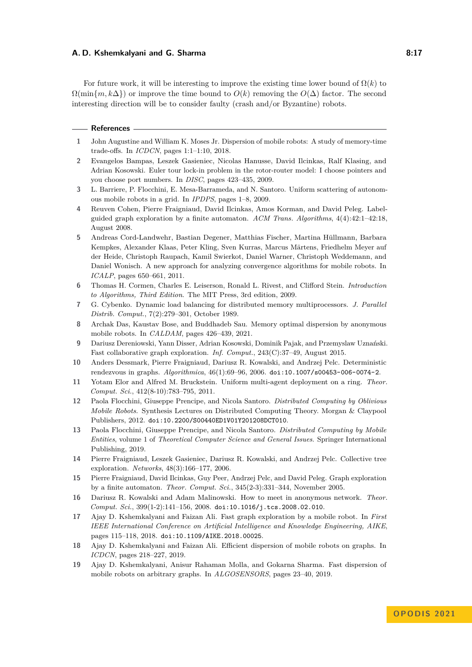#### **A. D. Kshemkalyani and G. Sharma 8:17 8:17**

For future work, it will be interesting to improve the existing time lower bound of  $\Omega(k)$  to  $\Omega(\min\{m, k\Delta\})$  or improve the time bound to  $O(k)$  removing the  $O(\Delta)$  factor. The second interesting direction will be to consider faulty (crash and/or Byzantine) robots.

#### **References**

- <span id="page-16-0"></span>**1** John Augustine and William K. Moses Jr. Dispersion of mobile robots: A study of memory-time trade-offs. In *ICDCN*, pages 1:1–1:10, 2018.
- <span id="page-16-7"></span>**2** Evangelos Bampas, Leszek Gasieniec, Nicolas Hanusse, David Ilcinkas, Ralf Klasing, and Adrian Kosowski. Euler tour lock-in problem in the rotor-router model: I choose pointers and you choose port numbers. In *DISC*, pages 423–435, 2009.
- <span id="page-16-16"></span>**3** L. Barriere, P. Flocchini, E. Mesa-Barrameda, and N. Santoro. Uniform scattering of autonomous mobile robots in a grid. In *IPDPS*, pages 1–8, 2009.
- <span id="page-16-8"></span>**4** Reuven Cohen, Pierre Fraigniaud, David Ilcinkas, Amos Korman, and David Peleg. Labelguided graph exploration by a finite automaton. *ACM Trans. Algorithms*, 4(4):42:1–42:18, August 2008.
- <span id="page-16-18"></span>**5** Andreas Cord-Landwehr, Bastian Degener, Matthias Fischer, Martina Hüllmann, Barbara Kempkes, Alexander Klaas, Peter Kling, Sven Kurras, Marcus Märtens, Friedhelm Meyer auf der Heide, Christoph Raupach, Kamil Swierkot, Daniel Warner, Christoph Weddemann, and Daniel Wonisch. A new approach for analyzing convergence algorithms for mobile robots. In *ICALP*, pages 650–661, 2011.
- <span id="page-16-5"></span>**6** Thomas H. Cormen, Charles E. Leiserson, Ronald L. Rivest, and Clifford Stein. *Introduction to Algorithms, Third Edition*. The MIT Press, 3rd edition, 2009.
- <span id="page-16-17"></span>**7** G. Cybenko. Dynamic load balancing for distributed memory multiprocessors. *J. Parallel Distrib. Comput.*, 7(2):279–301, October 1989.
- <span id="page-16-6"></span>**8** Archak Das, Kaustav Bose, and Buddhadeb Sau. Memory optimal dispersion by anonymous mobile robots. In *CALDAM*, pages 426–439, 2021.
- <span id="page-16-9"></span>**9** Dariusz Dereniowski, Yann Disser, Adrian Kosowski, Dominik Pajak, and Przemyslaw Uznański. Fast collaborative graph exploration. *Inf. Comput.*, 243(C):37–49, August 2015.
- <span id="page-16-13"></span>**10** Anders Dessmark, Pierre Fraigniaud, Dariusz R. Kowalski, and Andrzej Pelc. Deterministic rendezvous in graphs. *Algorithmica*, 46(1):69–96, 2006. [doi:10.1007/s00453-006-0074-2](https://doi.org/10.1007/s00453-006-0074-2).
- <span id="page-16-15"></span>**11** Yotam Elor and Alfred M. Bruckstein. Uniform multi-agent deployment on a ring. *Theor. Comput. Sci.*, 412(8-10):783–795, 2011.
- <span id="page-16-2"></span>**12** Paola Flocchini, Giuseppe Prencipe, and Nicola Santoro. *Distributed Computing by Oblivious Mobile Robots*. Synthesis Lectures on Distributed Computing Theory. Morgan & Claypool Publishers, 2012. [doi:10.2200/S00440ED1V01Y201208DCT010](https://doi.org/10.2200/S00440ED1V01Y201208DCT010).
- <span id="page-16-3"></span>**13** Paola Flocchini, Giuseppe Prencipe, and Nicola Santoro. *Distributed Computing by Mobile Entities*, volume 1 of *Theoretical Computer Science and General Issues*. Springer International Publishing, 2019.
- <span id="page-16-11"></span>**14** Pierre Fraigniaud, Leszek Gasieniec, Dariusz R. Kowalski, and Andrzej Pelc. Collective tree exploration. *Networks*, 48(3):166–177, 2006.
- <span id="page-16-10"></span>**15** Pierre Fraigniaud, David Ilcinkas, Guy Peer, Andrzej Pelc, and David Peleg. Graph exploration by a finite automaton. *Theor. Comput. Sci.*, 345(2-3):331–344, November 2005.
- <span id="page-16-14"></span>**16** Dariusz R. Kowalski and Adam Malinowski. How to meet in anonymous network. *Theor. Comput. Sci.*, 399(1-2):141–156, 2008. [doi:10.1016/j.tcs.2008.02.010](https://doi.org/10.1016/j.tcs.2008.02.010).
- <span id="page-16-12"></span>**17** Ajay D. Kshemkalyani and Faizan Ali. Fast graph exploration by a mobile robot. In *First IEEE International Conference on Artificial Intelligence and Knowledge Engineering, AIKE*, pages 115–118, 2018. [doi:10.1109/AIKE.2018.00025](https://doi.org/10.1109/AIKE.2018.00025).
- <span id="page-16-1"></span>**18** Ajay D. Kshemkalyani and Faizan Ali. Efficient dispersion of mobile robots on graphs. In *ICDCN*, pages 218–227, 2019.
- <span id="page-16-4"></span>**19** Ajay D. Kshemkalyani, Anisur Rahaman Molla, and Gokarna Sharma. Fast dispersion of mobile robots on arbitrary graphs. In *ALGOSENSORS*, pages 23–40, 2019.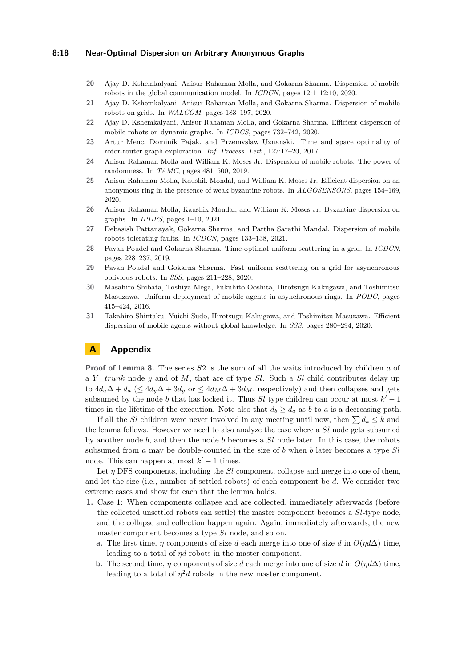#### **8:18 Near-Optimal Dispersion on Arbitrary Anonymous Graphs**

- <span id="page-17-4"></span>**20** Ajay D. Kshemkalyani, Anisur Rahaman Molla, and Gokarna Sharma. Dispersion of mobile robots in the global communication model. In *ICDCN*, pages 12:1–12:10, 2020.
- <span id="page-17-2"></span>**21** Ajay D. Kshemkalyani, Anisur Rahaman Molla, and Gokarna Sharma. Dispersion of mobile robots on grids. In *WALCOM*, pages 183–197, 2020.
- <span id="page-17-0"></span>**22** Ajay D. Kshemkalyani, Anisur Rahaman Molla, and Gokarna Sharma. Efficient dispersion of mobile robots on dynamic graphs. In *ICDCS*, pages 732–742, 2020.
- <span id="page-17-8"></span>**23** Artur Menc, Dominik Pajak, and Przemyslaw Uznanski. Time and space optimality of rotor-router graph exploration. *Inf. Process. Lett.*, 127:17–20, 2017.
- <span id="page-17-3"></span>**24** Anisur Rahaman Molla and William K. Moses Jr. Dispersion of mobile robots: The power of randomness. In *TAMC*, pages 481–500, 2019.
- <span id="page-17-6"></span>**25** Anisur Rahaman Molla, Kaushik Mondal, and William K. Moses Jr. Efficient dispersion on an anonymous ring in the presence of weak byzantine robots. In *ALGOSENSORS*, pages 154–169, 2020.
- <span id="page-17-7"></span>**26** Anisur Rahaman Molla, Kaushik Mondal, and William K. Moses Jr. Byzantine dispersion on graphs. In *IPDPS*, pages 1–10, 2021.
- <span id="page-17-5"></span>**27** Debasish Pattanayak, Gokarna Sharma, and Partha Sarathi Mandal. Dispersion of mobile robots tolerating faults. In *ICDCN*, pages 133–138, 2021.
- <span id="page-17-10"></span>**28** Pavan Poudel and Gokarna Sharma. Time-optimal uniform scattering in a grid. In *ICDCN*, pages 228–237, 2019.
- <span id="page-17-11"></span>**29** Pavan Poudel and Gokarna Sharma. Fast uniform scattering on a grid for asynchronous oblivious robots. In *SSS*, pages 211–228, 2020.
- <span id="page-17-9"></span>**30** Masahiro Shibata, Toshiya Mega, Fukuhito Ooshita, Hirotsugu Kakugawa, and Toshimitsu Masuzawa. Uniform deployment of mobile agents in asynchronous rings. In *PODC*, pages 415–424, 2016.
- <span id="page-17-1"></span>**31** Takahiro Shintaku, Yuichi Sudo, Hirotsugu Kakugawa, and Toshimitsu Masuzawa. Efficient dispersion of mobile agents without global knowledge. In *SSS*, pages 280–294, 2020.

# **A Appendix**

**Proof of Lemma [8.](#page-14-0)** The series *S*2 is the sum of all the waits introduced by children *a* of a *Y* \_*trunk* node *y* and of *M*, that are of type *Sl*. Such a *Sl* child contributes delay up to  $4d_a\Delta + d_a$  ( $\leq 4d_y\Delta + 3d_y$  or  $\leq 4d_M\Delta + 3d_M$ , respectively) and then collapses and gets subsumed by the node *b* that has locked it. Thus  $Sl$  type children can occur at most  $k' - 1$ times in the lifetime of the execution. Note also that  $d_b \geq d_a$  as *b* to *a* is a decreasing path.

If all the *Sl* children were never involved in any meeting until now, then  $\sum d_a \leq k$  and the lemma follows. However we need to also analyze the case where a *Sl* node gets subsumed by another node *b*, and then the node *b* becomes a *Sl* node later. In this case, the robots subsumed from *a* may be double-counted in the size of *b* when *b* later becomes a type *Sl* node. This can happen at most  $k' - 1$  times.

Let *η* DFS components, including the *Sl* component, collapse and merge into one of them, and let the size (i.e., number of settled robots) of each component be *d*. We consider two extreme cases and show for each that the lemma holds.

- **1.** Case 1: When components collapse and are collected, immediately afterwards (before the collected unsettled robots can settle) the master component becomes a *Sl*-type node, and the collapse and collection happen again. Again, immediately afterwards, the new master component becomes a type *Sl* node, and so on.
	- **a.** The first time, *η* components of size *d* each merge into one of size *d* in  $O(\eta d\Delta)$  time, leading to a total of *ηd* robots in the master component.
	- **b.** The second time, *η* components of size *d* each merge into one of size *d* in  $O(\eta d\Delta)$  time, leading to a total of  $\eta^2 d$  robots in the new master component.